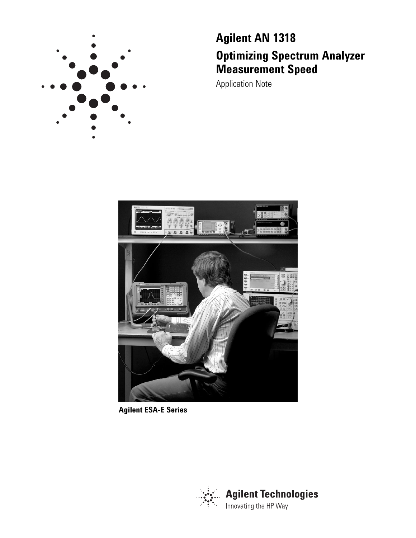

# **Agilent AN 1318 Optimizing Spectrum Analyzer Measurement Speed**

Application Note



**Agilent ESA-E Series**

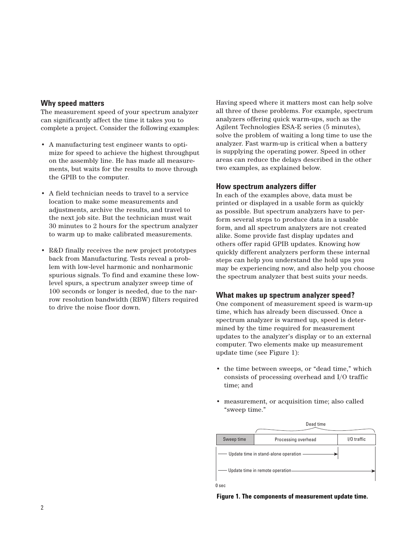# **Why speed matters**

The measurement speed of your spectrum analyzer can significantly affect the time it takes you to complete a project. Consider the following examples:

- A manufacturing test engineer wants to optimize for speed to achieve the highest throughput on the assembly line. He has made all measurements, but waits for the results to move through the GPIB to the computer.
- A field technician needs to travel to a service location to make some measurements and adjustments, archive the results, and travel to the next job site. But the technician must wait 30 minutes to 2 hours for the spectrum analyzer to warm up to make calibrated measurements.
- R&D finally receives the new project prototypes back from Manufacturing. Tests reveal a problem with low-level harmonic and nonharmonic spurious signals. To find and examine these lowlevel spurs, a spectrum analyzer sweep time of 100 seconds or longer is needed, due to the narrow resolution bandwidth (RBW) filters required to drive the noise floor down.

Having speed where it matters most can help solve all three of these problems. For example, spectrum analyzers offering quick warm-ups, such as the Agilent Technologies ESA-E series (5 minutes), solve the problem of waiting a long time to use the analyzer. Fast warm-up is critical when a battery is supplying the operating power. Speed in other areas can reduce the delays described in the other two examples, as explained below.

# **How spectrum analyzers differ**

In each of the examples above, data must be printed or displayed in a usable form as quickly as possible. But spectrum analyzers have to perform several steps to produce data in a usable form, and all spectrum analyzers are not created alike. Some provide fast display updates and others offer rapid GPIB updates. Knowing how quickly different analyzers perform these internal steps can help you understand the hold ups you may be experiencing now, and also help you choose the spectrum analyzer that best suits your needs.

# **What makes up spectrum analyzer speed?**

One component of measurement speed is warm-up time, which has already been discussed. Once a spectrum analyzer is warmed up, speed is determined by the time required for measurement updates to the analyzer's display or to an external computer. Two elements make up measurement update time (see Figure 1):

- the time between sweeps, or "dead time," which consists of processing overhead and I/O traffic time; and
- measurement, or acquisition time; also called "sweep time."



**Figure 1. The components of measurement update time.**

2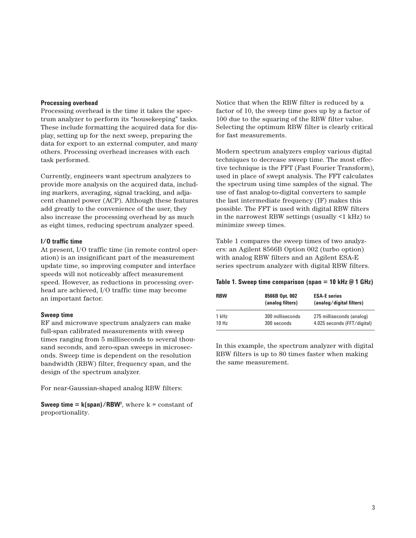## **Processing overhead**

Processing overhead is the time it takes the spectrum analyzer to perform its "housekeeping" tasks. These include formatting the acquired data for display, setting up for the next sweep, preparing the data for export to an external computer, and many others. Processing overhead increases with each task performed.

Currently, engineers want spectrum analyzers to provide more analysis on the acquired data, including markers, averaging, signal tracking, and adjacent channel power (ACP). Although these features add greatly to the convenience of the user, they also increase the processing overhead by as much as eight times, reducing spectrum analyzer speed.

## **I/O traffic time**

At present, I/O traffic time (in remote control operation) is an insignificant part of the measurement update time, so improving computer and interface speeds will not noticeably affect measurement speed. However, as reductions in processing overhead are achieved, I/O traffic time may become an important factor.

## **Sweep time**

RF and microwave spectrum analyzers can make full-span calibrated measurements with sweep times ranging from 5 milliseconds to several thousand seconds, and zero-span sweeps in microseconds. Sweep time is dependent on the resolution bandwidth (RBW) filter, frequency span, and the design of the spectrum analyzer.

For near-Gaussian-shaped analog RBW filters:

**Sweep time**  $= k(\text{span})/\text{RBW}^2$ **, where**  $k = constant$  **of** proportionality.

Notice that when the RBW filter is reduced by a factor of 10, the sweep time goes up by a factor of 100 due to the squaring of the RBW filter value. Selecting the optimum RBW filter is clearly critical for fast measurements.

Modern spectrum analyzers employ various digital techniques to decrease sweep time. The most effective technique is the FFT (Fast Fourier Transform), used in place of swept analysis. The FFT calculates the spectrum using time samples of the signal. The use of fast analog-to-digital converters to sample the last intermediate frequency (IF) makes this possible. The FFT is used with digital RBW filters in the narrowest RBW settings (usually <1 kHz) to minimize sweep times.

Table 1 compares the sweep times of two analyzers: an Agilent 8566B Option 002 (turbo option) with analog RBW filters and an Agilent ESA-E series spectrum analyzer with digital RBW filters.

|  |  |  | Table 1. Sweep time comparison (span = 10 kHz @ 1 GHz) |  |  |  |  |  |  |  |
|--|--|--|--------------------------------------------------------|--|--|--|--|--|--|--|
|--|--|--|--------------------------------------------------------|--|--|--|--|--|--|--|

| <b>RBW</b>       | 8566B Opt. 002<br>(analog filters) | <b>ESA-E</b> series<br>(analog/digital filters) |
|------------------|------------------------------------|-------------------------------------------------|
| 1 kHz            | 300 milliseconds                   | 275 milliseconds (analog)                       |
| 10H <sub>z</sub> | 300 seconds                        | 4.025 seconds (FFT/digital)                     |

In this example, the spectrum analyzer with digital RBW filters is up to 80 times faster when making the same measurement.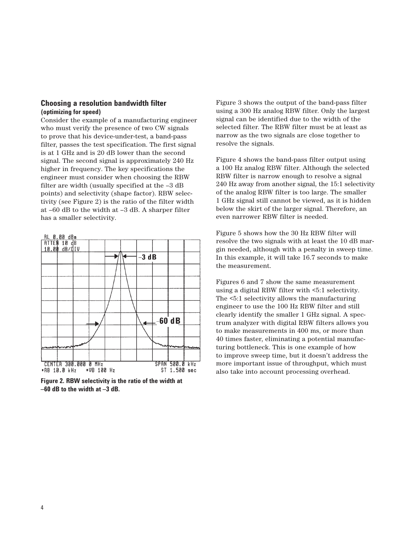## **Choosing a resolution bandwidth filter (optimizing for speed)**

Consider the example of a manufacturing engineer who must verify the presence of two CW signals to prove that his device-under-test, a band-pass filter, passes the test specification. The first signal is at 1 GHz and is 20 dB lower than the second signal. The second signal is approximately 240 Hz higher in frequency. The key specifications the engineer must consider when choosing the RBW filter are width (usually specified at the –3 dB points) and selectivity (shape factor). RBW selectivity (see Figure 2) is the ratio of the filter width at –60 dB to the width at –3 dB. A sharper filter has a smaller selectivity.



**Figure 2. RBW selectivity is the ratio of the width at –60 dB to the width at –3 dB.**

Figure 3 shows the output of the band-pass filter using a 300 Hz analog RBW filter. Only the largest signal can be identified due to the width of the selected filter. The RBW filter must be at least as narrow as the two signals are close together to resolve the signals.

Figure 4 shows the band-pass filter output using a 100 Hz analog RBW filter. Although the selected RBW filter is narrow enough to resolve a signal 240 Hz away from another signal, the 15:1 selectivity of the analog RBW filter is too large. The smaller 1 GHz signal still cannot be viewed, as it is hidden below the skirt of the larger signal. Therefore, an even narrower RBW filter is needed.

Figure 5 shows how the 30 Hz RBW filter will resolve the two signals with at least the 10 dB margin needed, although with a penalty in sweep time. In this example, it will take 16.7 seconds to make the measurement.

Figures 6 and 7 show the same measurement using a digital RBW filter with <5:1 selectivity. The <5:1 selectivity allows the manufacturing engineer to use the 100 Hz RBW filter and still clearly identify the smaller 1 GHz signal. A spectrum analyzer with digital RBW filters allows you to make measurements in 400 ms, or more than 40 times faster, eliminating a potential manufacturing bottleneck. This is one example of how to improve sweep time, but it doesn't address the more important issue of throughput, which must also take into account processing overhead.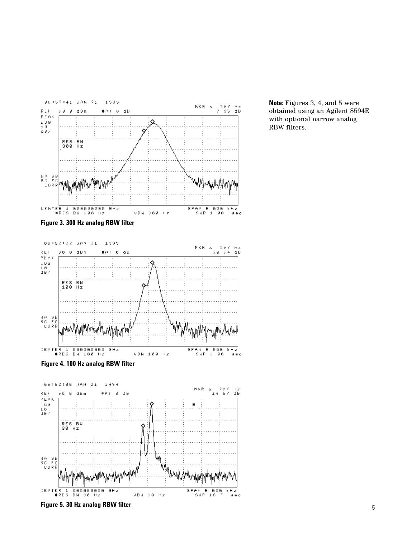

**Note:** Figures 3, 4, and 5 were obtained using an Agilent 8594E with optional narrow analog RBW filters.

**Figure 3. 300 Hz analog RBW filter**



**Figure 4. 100 Hz analog RBW filter**



**Figure 5. 30 Hz analog RBW filter**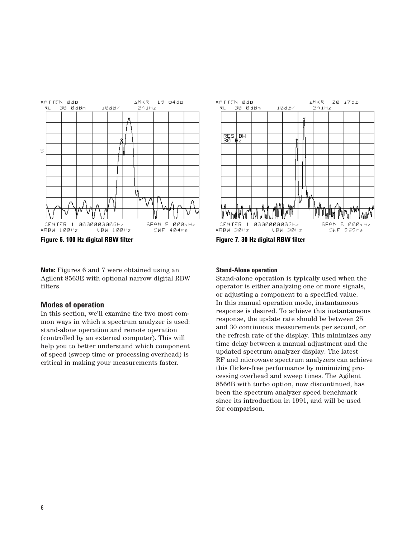

**Figure 6. 100 Hz digital RBW filter Figure 7. 30 Hz digital RBW filter**

**Note:** Figures 6 and 7 were obtained using an Agilent 8563E with optional narrow digital RBW filters.

## **Modes of operation**

In this section, we'll examine the two most common ways in which a spectrum analyzer is used: stand-alone operation and remote operation (controlled by an external computer). This will help you to better understand which component of speed (sweep time or processing overhead) is critical in making your measurements faster.



## **Stand-Alone operation**

Stand-alone operation is typically used when the operator is either analyzing one or more signals, or adjusting a component to a specified value. In this manual operation mode, instantaneous response is desired. To achieve this instantaneous response, the update rate should be between 25 and 30 continuous measurements per second, or the refresh rate of the display. This minimizes any time delay between a manual adjustment and the updated spectrum analyzer display. The latest RF and microwave spectrum analyzers can achieve this flicker-free performance by minimizing processing overhead and sweep times. The Agilent 8566B with turbo option, now discontinued, has been the spectrum analyzer speed benchmark since its introduction in 1991, and will be used for comparison.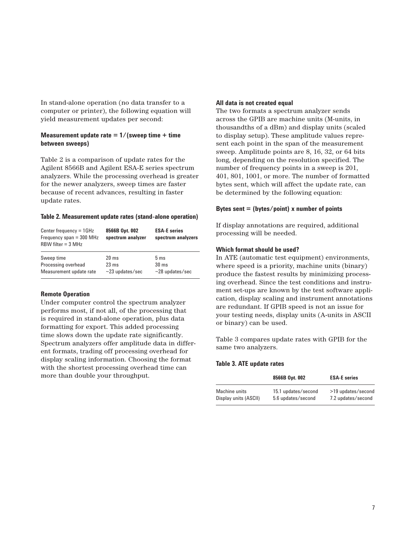In stand-alone operation (no data transfer to a computer or printer), the following equation will yield measurement updates per second:

## **Measurement update rate = 1/(sweep time + time between sweeps)**

Table 2 is a comparison of update rates for the Agilent 8566B and Agilent ESA-E series spectrum analyzers. While the processing overhead is greater for the newer analyzers, sweep times are faster because of recent advances, resulting in faster update rates.

## **Table 2. Measurement update rates (stand-alone operation)**

| Center frequency $= 1$ GHz<br>Frequency span $=$ 300 MHz<br>$RBW$ filter = 3 MHz | 8566B Opt. 002<br>spectrum analyzer | <b>ESA-E</b> series<br>spectrum analyzers |
|----------------------------------------------------------------------------------|-------------------------------------|-------------------------------------------|
| Sweep time                                                                       | $20 \text{ ms}$                     | 5 <sub>ms</sub>                           |
| Processing overhead                                                              | $23 \text{ ms}$                     | $30 \text{ ms}$                           |
| Measurement update rate                                                          | $\sim$ 23 updates/sec               | $\sim$ 28 updates/sec                     |

#### **Remote Operation**

Under computer control the spectrum analyzer performs most, if not all, of the processing that is required in stand-alone operation, plus data formatting for export. This added processing time slows down the update rate significantly. Spectrum analyzers offer amplitude data in different formats, trading off processing overhead for display scaling information. Choosing the format with the shortest processing overhead time can more than double your throughput.

## **All data is not created equal**

The two formats a spectrum analyzer sends across the GPIB are machine units (M-units, in thousandths of a dBm) and display units (scaled to display setup). These amplitude values represent each point in the span of the measurement sweep. Amplitude points are 8, 16, 32, or 64 bits long, depending on the resolution specified. The number of frequency points in a sweep is 201, 401, 801, 1001, or more. The number of formatted bytes sent, which will affect the update rate, can be determined by the following equation:

## **Bytes sent = (bytes/point) x number of points**

If display annotations are required, additional processing will be needed.

## **Which format should be used?**

In ATE (automatic test equipment) environments, where speed is a priority, machine units (binary) produce the fastest results by minimizing processing overhead. Since the test conditions and instrument set-ups are known by the test software application, display scaling and instrument annotations are redundant. If GPIB speed is not an issue for your testing needs, display units (A-units in ASCII or binary) can be used.

Table 3 compares update rates with GPIB for the same two analyzers.

## **Table 3. ATE update rates**

|                       | 8566B Opt. 002      | <b>ESA-E</b> series |  |  |
|-----------------------|---------------------|---------------------|--|--|
| Machine units         | 15.1 updates/second | >19 updates/second  |  |  |
| Display units (ASCII) | 5.6 updates/second  | 7.2 updates/second  |  |  |